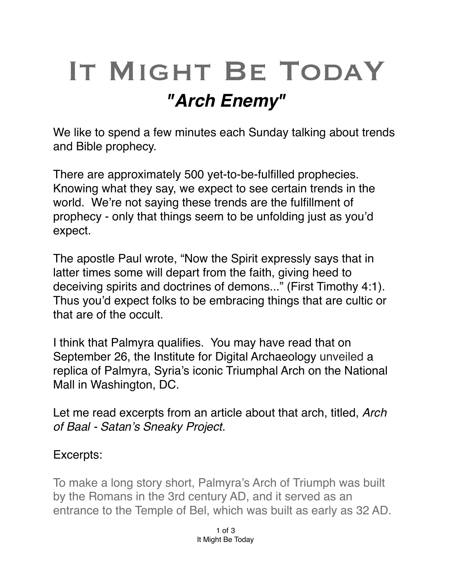## IT MIGHT BE TODAY *"Arch Enemy"*

We like to spend a few minutes each Sunday talking about trends and Bible prophecy.

There are approximately 500 yet-to-be-fulfilled prophecies. Knowing what they say, we expect to see certain trends in the world. We're not saying these trends are the fulfillment of prophecy - only that things seem to be unfolding just as you'd expect.

The apostle Paul wrote, "Now the Spirit expressly says that in latter times some will depart from the faith, giving heed to deceiving spirits and doctrines of demons..." (First Timothy 4:1). Thus you'd expect folks to be embracing things that are cultic or that are of the occult.

I think that Palmyra qualifies. You may have read that on September 26, the Institute for Digital Archaeology unveiled a replica of Palmyra, Syria's iconic Triumphal Arch on the National Mall in Washington, DC.

Let me read excerpts from an article about that arch, titled, *Arch of Baal - Satan's Sneaky Project*.

## Excerpts:

To make a long story short, [Palmyra's Arch of Triumph](https://en.wikipedia.org/wiki/Monumental_Arch_of_Palmyra) was built by the Romans in the 3rd century AD, and it served as an entrance to the [Temple of Bel,](https://en.wikipedia.org/wiki/Temple_of_Bel) which was built as early as 32 AD.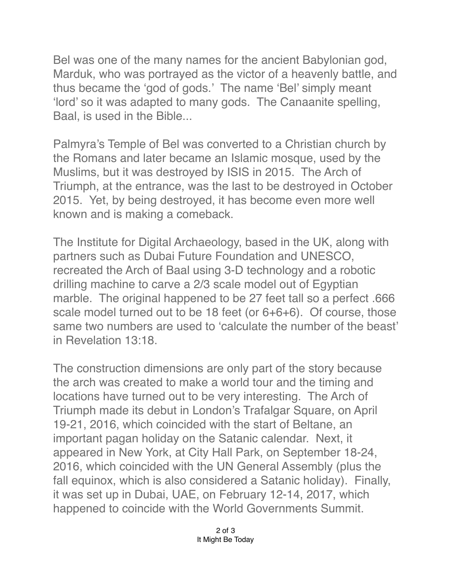Bel was one of the many names for the ancient Babylonian god, Marduk, who was portrayed as the victor of a heavenly battle, and thus became the 'god of gods.' The name 'Bel' simply meant 'lord' so it was adapted to many gods. The Canaanite spelling, Baal, is used in the Bible...

Palmyra's Temple of Bel was converted to a Christian church by the Romans and later became an Islamic mosque, used by the Muslims, but it was destroyed by ISIS in 2015. The Arch of Triumph, at the entrance, was the last to be destroyed in October 2015. Yet, by being destroyed, it has become even more well known and is making a comeback.

The [Institute for Digital Archaeology,](http://digitalarchaeology.org.uk/partners/) based in the UK, along with partners such as Dubai Future Foundation and UNESCO, recreated the Arch of Baal using 3-D technology and a robotic drilling machine to [carve a 2/3 scale model](https://3dprint.com/130628/palmyra-arch-trafalgar/) out of Egyptian marble. The original happened to be 27 feet tall so a perfect .666 scale model turned out to be 18 feet (or 6+6+6). Of course, those same two numbers are used to 'calculate the number of the beast' in Revelation 13:18.

The construction dimensions are only part of the story because the arch was created to make a world tour and the timing and locations have turned out to be very interesting. The Arch of Triumph made its debut in [London's Trafalgar Square, on April](http://www.bbc.com/news/uk-36070721)  [19-21, 2016](http://www.bbc.com/news/uk-36070721), which coincided with the start of Beltane, an important pagan holiday on the Satanic calendar. Next, it appeared in New York, at City Hall Park, on September 18-24, 2016, which coincided with the UN General Assembly (plus the fall equinox, which is also considered a Satanic holiday). Finally, it was set up in Dubai, UAE, on February 12-14, 2017, which happened to coincide with the World Governments Summit.